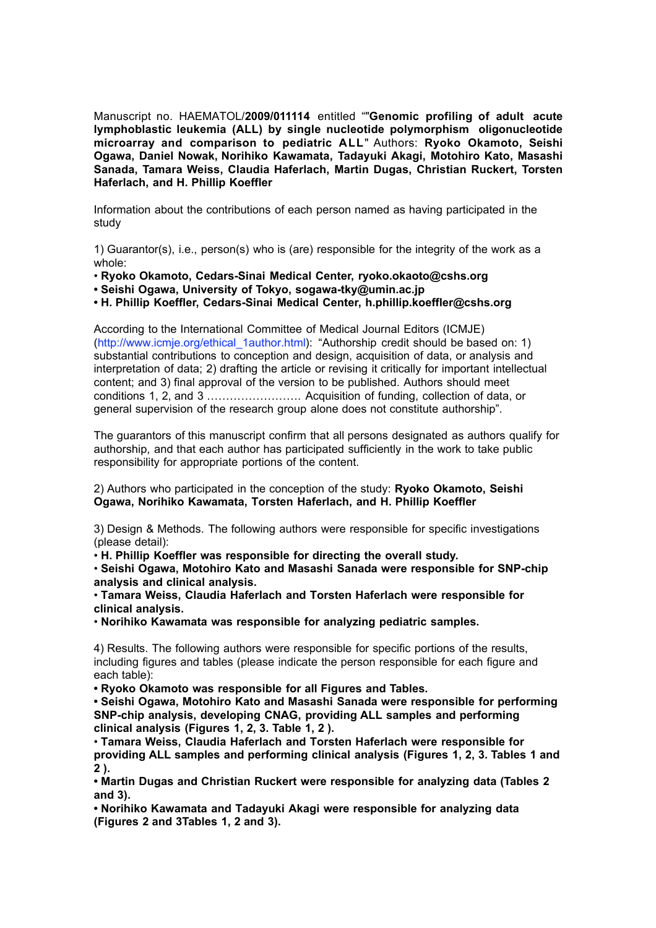Manuscript no. HAEMATOL/**2009/011114** entitled ""**Genomic profiling of adult acute lymphoblastic leukemia (ALL) by single nucleotide polymorphism oligonucleotide microarray and comparison to pediatric ALL**" Authors: **Ryoko Okamoto, Seishi Ogawa, Daniel Nowak, Norihiko Kawamata, Tadayuki Akagi, Motohiro Kato, Masashi Sanada, Tamara Weiss, Claudia Haferlach, Martin Dugas, Christian Ruckert, Torsten Haferlach, and H. Phillip Koeffler**

Information about the contributions of each person named as having participated in the study

1) Guarantor(s), i.e., person(s) who is (are) responsible for the integrity of the work as a whole:

• **Ryoko Okamoto, Cedars-Sinai Medical Center, ryoko.okaoto@cshs.org**

**• Seishi Ogawa, University of Tokyo, sogawa-tky@umin.ac.jp**

**• H. Phillip Koeffler, Cedars-Sinai Medical Center, h.phillip.koeffler@cshs.org**

According to the International Committee of Medical Journal Editors (ICMJE) (http://www.icmje.org/ethical\_1author.html): "Authorship credit should be based on: 1) substantial contributions to conception and design, acquisition of data, or analysis and interpretation of data; 2) drafting the article or revising it critically for important intellectual content; and 3) final approval of the version to be published. Authors should meet conditions 1, 2, and 3 ……………………. Acquisition of funding, collection of data, or general supervision of the research group alone does not constitute authorship".

The guarantors of this manuscript confirm that all persons designated as authors qualify for authorship, and that each author has participated sufficiently in the work to take public responsibility for appropriate portions of the content.

2) Authors who participated in the conception of the study: **Ryoko Okamoto, Seishi Ogawa, Norihiko Kawamata, Torsten Haferlach, and H. Phillip Koeffler**

3) Design & Methods. The following authors were responsible for specific investigations (please detail):

• **H. Phillip Koeffler was responsible for directing the overall study.**

• **Seishi Ogawa, Motohiro Kato and Masashi Sanada were responsible for SNP-chip analysis and clinical analysis.**

• **Tamara Weiss, Claudia Haferlach and Torsten Haferlach were responsible for clinical analysis.**

• **Norihiko Kawamata was responsible for analyzing pediatric samples.**

4) Results. The following authors were responsible for specific portions of the results, including figures and tables (please indicate the person responsible for each figure and each table):

**• Ryoko Okamoto was responsible for all Figures and Tables.**

**• Seishi Ogawa, Motohiro Kato and Masashi Sanada were responsible for performing SNP-chip analysis, developing CNAG, providing ALL samples and performing clinical analysis (Figures 1, 2, 3. Table 1, 2 ).**

• **Tamara Weiss, Claudia Haferlach and Torsten Haferlach were responsible for providing ALL samples and performing clinical analysis (Figures 1, 2, 3. Tables 1 and 2 ).**

**• Martin Dugas and Christian Ruckert were responsible for analyzing data (Tables 2 and 3).**

**• Norihiko Kawamata and Tadayuki Akagi were responsible for analyzing data (Figures 2 and 3Tables 1, 2 and 3).**